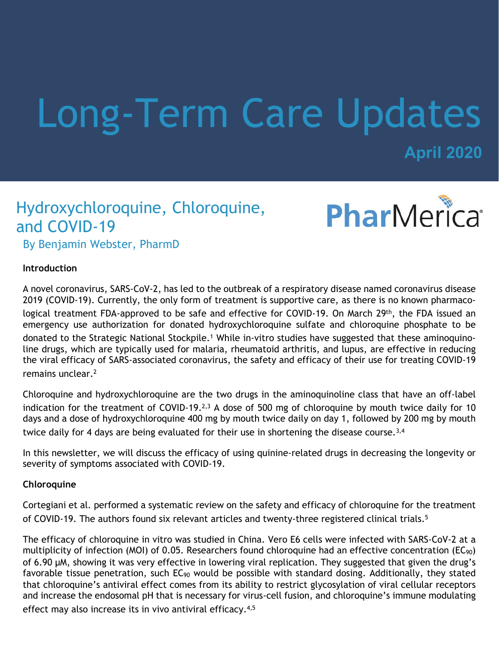# Long-Term Care Updates

**April 2020**

## Hydroxychloroquine, Chloroquine, and COVID-19



By Benjamin Webster, PharmD

#### **Introduction**

A novel coronavirus, SARS-CoV-2, has led to the outbreak of a respiratory disease named coronavirus disease 2019 (COVID-19). Currently, the only form of treatment is supportive care, as there is no known pharmacological treatment FDA-approved to be safe and effective for COVID-19. On March 29th, the FDA issued an emergency use authorization for donated hydroxychloroquine sulfate and chloroquine phosphate to be donated to the Strategic National Stockpile.<sup>1</sup> While in-vitro studies have suggested that these aminoquinoline drugs, which are typically used for malaria, rheumatoid arthritis, and lupus, are effective in reducing the viral efficacy of SARS-associated coronavirus, the safety and efficacy of their use for treating COVID-19 remains unclear.<sup>2</sup>

Chloroquine and hydroxychloroquine are the two drugs in the aminoquinoline class that have an off-label indication for the treatment of COVID-19.<sup>2,3</sup> A dose of 500 mg of chloroquine by mouth twice daily for 10 days and a dose of hydroxychloroquine 400 mg by mouth twice daily on day 1, followed by 200 mg by mouth twice daily for 4 days are being evaluated for their use in shortening the disease course.<sup>3,4</sup>

In this newsletter, we will discuss the efficacy of using quinine-related drugs in decreasing the longevity or severity of symptoms associated with COVID-19.

#### **Chloroquine**

Cortegiani et al. performed a systematic review on the safety and efficacy of chloroquine for the treatment of COVID-19. The authors found six relevant articles and twenty-three registered clinical trials.<sup>5</sup>

The efficacy of chloroquine in vitro was studied in China. Vero E6 cells were infected with SARS-CoV-2 at a multiplicity of infection (MOI) of 0.05. Researchers found chloroquine had an effective concentration (EC<sub>90</sub>) of 6.90 μM, showing it was very effective in lowering viral replication. They suggested that given the drug's favorable tissue penetration, such EC<sub>90</sub> would be possible with standard dosing. Additionally, they stated that chloroquine's antiviral effect comes from its ability to restrict glycosylation of viral cellular receptors and increase the endosomal pH that is necessary for virus-cell fusion, and chloroquine's immune modulating effect may also increase its in vivo antiviral efficacy.<sup>4,5</sup>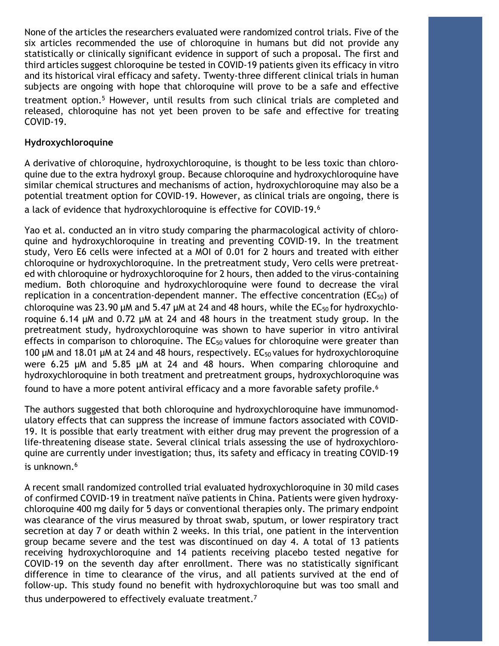None of the articles the researchers evaluated were randomized control trials. Five of the six articles recommended the use of chloroquine in humans but did not provide any statistically or clinically significant evidence in support of such a proposal. The first and third articles suggest chloroquine be tested in COVID-19 patients given its efficacy in vitro and its historical viral efficacy and safety. Twenty-three different clinical trials in human subjects are ongoing with hope that chloroquine will prove to be a safe and effective treatment option.<sup>5</sup> However, until results from such clinical trials are completed and released, chloroquine has not yet been proven to be safe and effective for treating COVID-19.

#### **Hydroxychloroquine**

A derivative of chloroquine, hydroxychloroquine, is thought to be less toxic than chloroquine due to the extra hydroxyl group. Because chloroquine and hydroxychloroquine have similar chemical structures and mechanisms of action, hydroxychloroquine may also be a potential treatment option for COVID-19. However, as clinical trials are ongoing, there is a lack of evidence that hydroxychloroquine is effective for COVID-19.<sup>6</sup>

Yao et al. conducted an in vitro study comparing the pharmacological activity of chloroquine and hydroxychloroquine in treating and preventing COVID-19. In the treatment study, Vero E6 cells were infected at a MOI of 0.01 for 2 hours and treated with either chloroquine or hydroxychloroquine. In the pretreatment study, Vero cells were pretreated with chloroquine or hydroxychloroquine for 2 hours, then added to the virus-containing medium. Both chloroquine and hydroxychloroquine were found to decrease the viral replication in a concentration-dependent manner. The effective concentration (EC $_{50}$ ) of chloroquine was 23.90  $\mu$ M and 5.47  $\mu$ M at 24 and 48 hours, while the EC<sub>50</sub> for hydroxychloroquine 6.14 µM and 0.72 µM at 24 and 48 hours in the treatment study group. In the pretreatment study, hydroxychloroquine was shown to have superior in vitro antiviral effects in comparison to chloroquine. The  $EC_{50}$  values for chloroquine were greater than 100  $\mu$ M and 18.01  $\mu$ M at 24 and 48 hours, respectively. EC<sub>50</sub> values for hydroxychloroquine were 6.25 µM and 5.85 µM at 24 and 48 hours. When comparing chloroquine and hydroxychloroquine in both treatment and pretreatment groups, hydroxychloroquine was found to have a more potent antiviral efficacy and a more favorable safety profile.<sup>6</sup>

The authors suggested that both chloroquine and hydroxychloroquine have immunomodulatory effects that can suppress the increase of immune factors associated with COVID-19. It is possible that early treatment with either drug may prevent the progression of a life-threatening disease state. Several clinical trials assessing the use of hydroxychloroquine are currently under investigation; thus, its safety and efficacy in treating COVID-19 is unknown.<sup>6</sup>

A recent small randomized controlled trial evaluated hydroxychloroquine in 30 mild cases of confirmed COVID-19 in treatment naïve patients in China. Patients were given hydroxychloroquine 400 mg daily for 5 days or conventional therapies only. The primary endpoint was clearance of the virus measured by throat swab, sputum, or lower respiratory tract secretion at day 7 or death within 2 weeks. In this trial, one patient in the intervention group became severe and the test was discontinued on day 4. A total of 13 patients receiving hydroxychloroquine and 14 patients receiving placebo tested negative for COVID-19 on the seventh day after enrollment. There was no statistically significant difference in time to clearance of the virus, and all patients survived at the end of follow-up. This study found no benefit with hydroxychloroquine but was too small and thus underpowered to effectively evaluate treatment.7